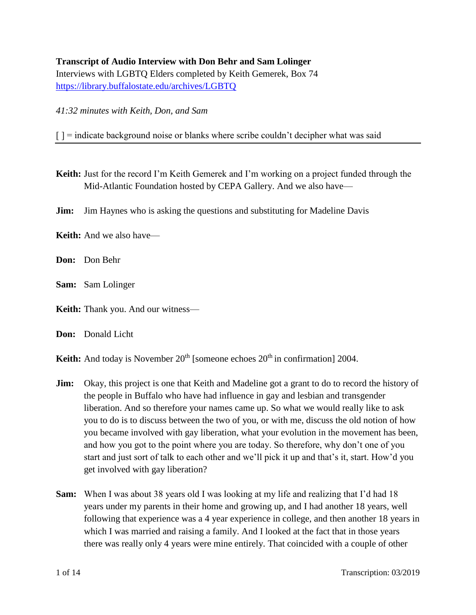# **Transcript of Audio Interview with Don Behr and Sam Lolinger**

Interviews with LGBTQ Elders completed by Keith Gemerek, Box 74 <https://library.buffalostate.edu/archives/LGBTQ>

*41:32 minutes with Keith, Don, and Sam*

 $\lceil$   $\rceil$  = indicate background noise or blanks where scribe couldn't decipher what was said

- **Keith:** Just for the record I'm Keith Gemerek and I'm working on a project funded through the Mid-Atlantic Foundation hosted by CEPA Gallery. And we also have—
- **Jim:** Jim Haynes who is asking the questions and substituting for Madeline Davis
- **Keith:** And we also have—
- **Don:** Don Behr
- **Sam:** Sam Lolinger
- **Keith:** Thank you. And our witness—
- **Don:** Donald Licht

**Keith:** And today is November  $20<sup>th</sup>$  [someone echoes  $20<sup>th</sup>$  in confirmation] 2004.

- **Jim:** Okay, this project is one that Keith and Madeline got a grant to do to record the history of the people in Buffalo who have had influence in gay and lesbian and transgender liberation. And so therefore your names came up. So what we would really like to ask you to do is to discuss between the two of you, or with me, discuss the old notion of how you became involved with gay liberation, what your evolution in the movement has been, and how you got to the point where you are today. So therefore, why don't one of you start and just sort of talk to each other and we'll pick it up and that's it, start. How'd you get involved with gay liberation?
- **Sam:** When I was about 38 years old I was looking at my life and realizing that I'd had 18 years under my parents in their home and growing up, and I had another 18 years, well following that experience was a 4 year experience in college, and then another 18 years in which I was married and raising a family. And I looked at the fact that in those years there was really only 4 years were mine entirely. That coincided with a couple of other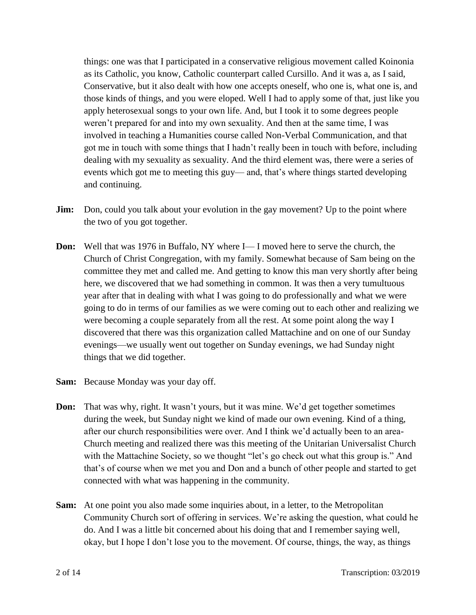things: one was that I participated in a conservative religious movement called Koinonia as its Catholic, you know, Catholic counterpart called Cursillo. And it was a, as I said, Conservative, but it also dealt with how one accepts oneself, who one is, what one is, and those kinds of things, and you were eloped. Well I had to apply some of that, just like you apply heterosexual songs to your own life. And, but I took it to some degrees people weren't prepared for and into my own sexuality. And then at the same time, I was involved in teaching a Humanities course called Non-Verbal Communication, and that got me in touch with some things that I hadn't really been in touch with before, including dealing with my sexuality as sexuality. And the third element was, there were a series of events which got me to meeting this guy— and, that's where things started developing and continuing.

- **Jim:** Don, could you talk about your evolution in the gay movement? Up to the point where the two of you got together.
- **Don:** Well that was 1976 in Buffalo, NY where I— I moved here to serve the church, the Church of Christ Congregation, with my family. Somewhat because of Sam being on the committee they met and called me. And getting to know this man very shortly after being here, we discovered that we had something in common. It was then a very tumultuous year after that in dealing with what I was going to do professionally and what we were going to do in terms of our families as we were coming out to each other and realizing we were becoming a couple separately from all the rest. At some point along the way I discovered that there was this organization called Mattachine and on one of our Sunday evenings—we usually went out together on Sunday evenings, we had Sunday night things that we did together.
- **Sam:** Because Monday was your day off.
- **Don:** That was why, right. It wasn't yours, but it was mine. We'd get together sometimes during the week, but Sunday night we kind of made our own evening. Kind of a thing, after our church responsibilities were over. And I think we'd actually been to an area-Church meeting and realized there was this meeting of the Unitarian Universalist Church with the Mattachine Society, so we thought "let's go check out what this group is." And that's of course when we met you and Don and a bunch of other people and started to get connected with what was happening in the community.
- **Sam:** At one point you also made some inquiries about, in a letter, to the Metropolitan Community Church sort of offering in services. We're asking the question, what could he do. And I was a little bit concerned about his doing that and I remember saying well, okay, but I hope I don't lose you to the movement. Of course, things, the way, as things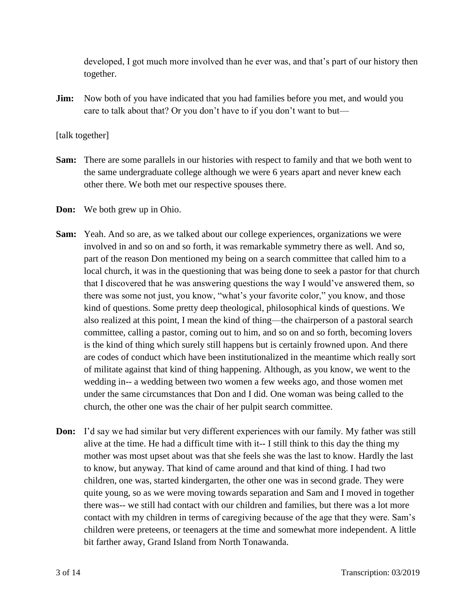developed, I got much more involved than he ever was, and that's part of our history then together.

**Jim:** Now both of you have indicated that you had families before you met, and would you care to talk about that? Or you don't have to if you don't want to but—

#### [talk together]

- **Sam:** There are some parallels in our histories with respect to family and that we both went to the same undergraduate college although we were 6 years apart and never knew each other there. We both met our respective spouses there.
- **Don:** We both grew up in Ohio.
- **Sam:** Yeah. And so are, as we talked about our college experiences, organizations we were involved in and so on and so forth, it was remarkable symmetry there as well. And so, part of the reason Don mentioned my being on a search committee that called him to a local church, it was in the questioning that was being done to seek a pastor for that church that I discovered that he was answering questions the way I would've answered them, so there was some not just, you know, "what's your favorite color," you know, and those kind of questions. Some pretty deep theological, philosophical kinds of questions. We also realized at this point, I mean the kind of thing—the chairperson of a pastoral search committee, calling a pastor, coming out to him, and so on and so forth, becoming lovers is the kind of thing which surely still happens but is certainly frowned upon. And there are codes of conduct which have been institutionalized in the meantime which really sort of militate against that kind of thing happening. Although, as you know, we went to the wedding in-- a wedding between two women a few weeks ago, and those women met under the same circumstances that Don and I did. One woman was being called to the church, the other one was the chair of her pulpit search committee.
- **Don:** I'd say we had similar but very different experiences with our family. My father was still alive at the time. He had a difficult time with it-- I still think to this day the thing my mother was most upset about was that she feels she was the last to know. Hardly the last to know, but anyway. That kind of came around and that kind of thing. I had two children, one was, started kindergarten, the other one was in second grade. They were quite young, so as we were moving towards separation and Sam and I moved in together there was-- we still had contact with our children and families, but there was a lot more contact with my children in terms of caregiving because of the age that they were. Sam's children were preteens, or teenagers at the time and somewhat more independent. A little bit farther away, Grand Island from North Tonawanda.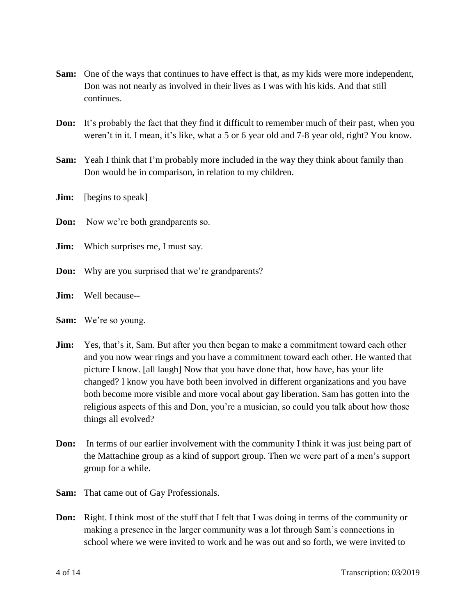- **Sam:** One of the ways that continues to have effect is that, as my kids were more independent, Don was not nearly as involved in their lives as I was with his kids. And that still continues.
- **Don:** It's probably the fact that they find it difficult to remember much of their past, when you weren't in it. I mean, it's like, what a 5 or 6 year old and 7-8 year old, right? You know.
- **Sam:** Yeah I think that I'm probably more included in the way they think about family than Don would be in comparison, in relation to my children.
- **Jim:** [begins to speak]
- **Don:** Now we're both grandparents so.
- **Jim:** Which surprises me, I must say.
- **Don:** Why are you surprised that we're grandparents?
- **Jim:** Well because--
- **Sam:** We're so young.
- **Jim:** Yes, that's it, Sam. But after you then began to make a commitment toward each other and you now wear rings and you have a commitment toward each other. He wanted that picture I know. [all laugh] Now that you have done that, how have, has your life changed? I know you have both been involved in different organizations and you have both become more visible and more vocal about gay liberation. Sam has gotten into the religious aspects of this and Don, you're a musician, so could you talk about how those things all evolved?
- **Don:** In terms of our earlier involvement with the community I think it was just being part of the Mattachine group as a kind of support group. Then we were part of a men's support group for a while.
- **Sam:** That came out of Gay Professionals.
- **Don:** Right. I think most of the stuff that I felt that I was doing in terms of the community or making a presence in the larger community was a lot through Sam's connections in school where we were invited to work and he was out and so forth, we were invited to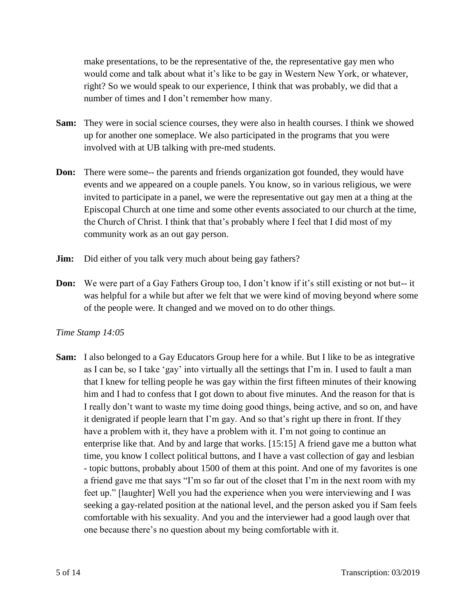make presentations, to be the representative of the, the representative gay men who would come and talk about what it's like to be gay in Western New York, or whatever, right? So we would speak to our experience, I think that was probably, we did that a number of times and I don't remember how many.

- **Sam:** They were in social science courses, they were also in health courses. I think we showed up for another one someplace. We also participated in the programs that you were involved with at UB talking with pre-med students.
- **Don:** There were some-- the parents and friends organization got founded, they would have events and we appeared on a couple panels. You know, so in various religious, we were invited to participate in a panel, we were the representative out gay men at a thing at the Episcopal Church at one time and some other events associated to our church at the time, the Church of Christ. I think that that's probably where I feel that I did most of my community work as an out gay person.
- **Jim:** Did either of you talk very much about being gay fathers?
- **Don:** We were part of a Gay Fathers Group too, I don't know if it's still existing or not but-- it was helpful for a while but after we felt that we were kind of moving beyond where some of the people were. It changed and we moved on to do other things.

# *Time Stamp 14:05*

**Sam:** I also belonged to a Gay Educators Group here for a while. But I like to be as integrative as I can be, so I take 'gay' into virtually all the settings that I'm in. I used to fault a man that I knew for telling people he was gay within the first fifteen minutes of their knowing him and I had to confess that I got down to about five minutes. And the reason for that is I really don't want to waste my time doing good things, being active, and so on, and have it denigrated if people learn that I'm gay. And so that's right up there in front. If they have a problem with it, they have a problem with it. I'm not going to continue an enterprise like that. And by and large that works. [15:15] A friend gave me a button what time, you know I collect political buttons, and I have a vast collection of gay and lesbian - topic buttons, probably about 1500 of them at this point. And one of my favorites is one a friend gave me that says "I'm so far out of the closet that I'm in the next room with my feet up." [laughter] Well you had the experience when you were interviewing and I was seeking a gay-related position at the national level, and the person asked you if Sam feels comfortable with his sexuality. And you and the interviewer had a good laugh over that one because there's no question about my being comfortable with it.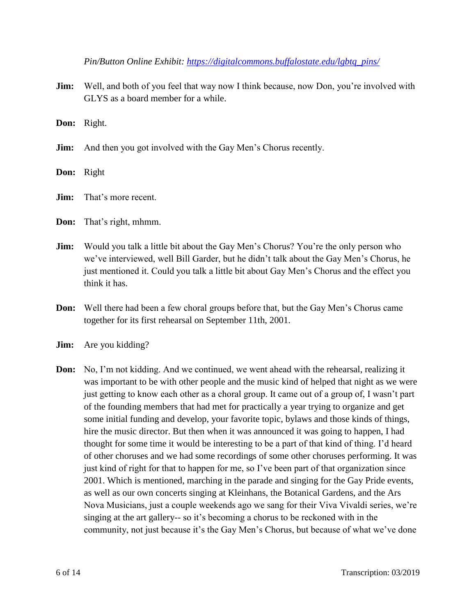*Pin/Button Online Exhibit: [https://digitalcommons.buffalostate.edu/lgbtq\\_pins/](https://digitalcommons.buffalostate.edu/lgbtq_pins/)*

**Jim:** Well, and both of you feel that way now I think because, now Don, you're involved with GLYS as a board member for a while.

**Don:** Right.

- **Jim:** And then you got involved with the Gay Men's Chorus recently.
- **Don:** Right
- **Jim:** That's more recent.
- **Don:** That's right, mhmm.
- **Jim:** Would you talk a little bit about the Gay Men's Chorus? You're the only person who we've interviewed, well Bill Garder, but he didn't talk about the Gay Men's Chorus, he just mentioned it. Could you talk a little bit about Gay Men's Chorus and the effect you think it has.
- **Don:** Well there had been a few choral groups before that, but the Gay Men's Chorus came together for its first rehearsal on September 11th, 2001.
- **Jim:** Are you kidding?
- **Don:** No, I'm not kidding. And we continued, we went ahead with the rehearsal, realizing it was important to be with other people and the music kind of helped that night as we were just getting to know each other as a choral group. It came out of a group of, I wasn't part of the founding members that had met for practically a year trying to organize and get some initial funding and develop, your favorite topic, bylaws and those kinds of things, hire the music director. But then when it was announced it was going to happen, I had thought for some time it would be interesting to be a part of that kind of thing. I'd heard of other choruses and we had some recordings of some other choruses performing. It was just kind of right for that to happen for me, so I've been part of that organization since 2001. Which is mentioned, marching in the parade and singing for the Gay Pride events, as well as our own concerts singing at Kleinhans, the Botanical Gardens, and the Ars Nova Musicians, just a couple weekends ago we sang for their Viva Vivaldi series, we're singing at the art gallery-- so it's becoming a chorus to be reckoned with in the community, not just because it's the Gay Men's Chorus, but because of what we've done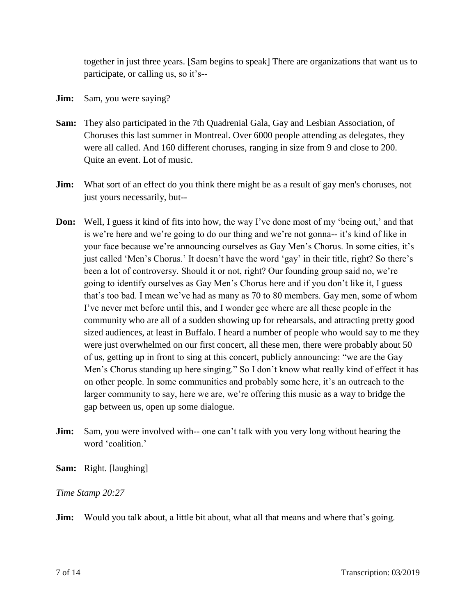together in just three years. [Sam begins to speak] There are organizations that want us to participate, or calling us, so it's--

- **Jim:** Sam, you were saying?
- **Sam:** They also participated in the 7th Quadrenial Gala, Gay and Lesbian Association, of Choruses this last summer in Montreal. Over 6000 people attending as delegates, they were all called. And 160 different choruses, ranging in size from 9 and close to 200. Quite an event. Lot of music.
- **Jim:** What sort of an effect do you think there might be as a result of gay men's choruses, not just yours necessarily, but--
- **Don:** Well, I guess it kind of fits into how, the way I've done most of my 'being out,' and that is we're here and we're going to do our thing and we're not gonna-- it's kind of like in your face because we're announcing ourselves as Gay Men's Chorus. In some cities, it's just called 'Men's Chorus.' It doesn't have the word 'gay' in their title, right? So there's been a lot of controversy. Should it or not, right? Our founding group said no, we're going to identify ourselves as Gay Men's Chorus here and if you don't like it, I guess that's too bad. I mean we've had as many as 70 to 80 members. Gay men, some of whom I've never met before until this, and I wonder gee where are all these people in the community who are all of a sudden showing up for rehearsals, and attracting pretty good sized audiences, at least in Buffalo. I heard a number of people who would say to me they were just overwhelmed on our first concert, all these men, there were probably about 50 of us, getting up in front to sing at this concert, publicly announcing: "we are the Gay Men's Chorus standing up here singing." So I don't know what really kind of effect it has on other people. In some communities and probably some here, it's an outreach to the larger community to say, here we are, we're offering this music as a way to bridge the gap between us, open up some dialogue.
- **Jim:** Sam, you were involved with-- one can't talk with you very long without hearing the word 'coalition.'
- **Sam:** Right. [laughing]

# *Time Stamp 20:27*

**Jim:** Would you talk about, a little bit about, what all that means and where that's going.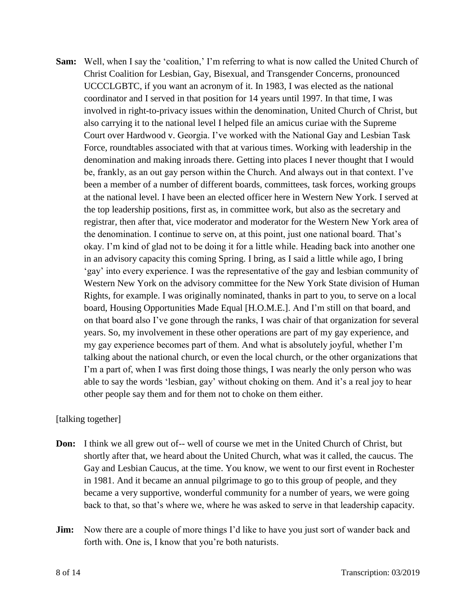**Sam:** Well, when I say the 'coalition,' I'm referring to what is now called the United Church of Christ Coalition for Lesbian, Gay, Bisexual, and Transgender Concerns, pronounced UCCCLGBTC, if you want an acronym of it. In 1983, I was elected as the national coordinator and I served in that position for 14 years until 1997. In that time, I was involved in right-to-privacy issues within the denomination, United Church of Christ, but also carrying it to the national level I helped file an amicus curiae with the Supreme Court over Hardwood v. Georgia. I've worked with the National Gay and Lesbian Task Force, roundtables associated with that at various times. Working with leadership in the denomination and making inroads there. Getting into places I never thought that I would be, frankly, as an out gay person within the Church. And always out in that context. I've been a member of a number of different boards, committees, task forces, working groups at the national level. I have been an elected officer here in Western New York. I served at the top leadership positions, first as, in committee work, but also as the secretary and registrar, then after that, vice moderator and moderator for the Western New York area of the denomination. I continue to serve on, at this point, just one national board. That's okay. I'm kind of glad not to be doing it for a little while. Heading back into another one in an advisory capacity this coming Spring. I bring, as I said a little while ago, I bring 'gay' into every experience. I was the representative of the gay and lesbian community of Western New York on the advisory committee for the New York State division of Human Rights, for example. I was originally nominated, thanks in part to you, to serve on a local board, Housing Opportunities Made Equal [H.O.M.E.]. And I'm still on that board, and on that board also I've gone through the ranks, I was chair of that organization for several years. So, my involvement in these other operations are part of my gay experience, and my gay experience becomes part of them. And what is absolutely joyful, whether I'm talking about the national church, or even the local church, or the other organizations that I'm a part of, when I was first doing those things, I was nearly the only person who was able to say the words 'lesbian, gay' without choking on them. And it's a real joy to hear other people say them and for them not to choke on them either.

# [talking together]

- **Don:** I think we all grew out of-- well of course we met in the United Church of Christ, but shortly after that, we heard about the United Church, what was it called, the caucus. The Gay and Lesbian Caucus, at the time. You know, we went to our first event in Rochester in 1981. And it became an annual pilgrimage to go to this group of people, and they became a very supportive, wonderful community for a number of years, we were going back to that, so that's where we, where he was asked to serve in that leadership capacity.
- **Jim:** Now there are a couple of more things I'd like to have you just sort of wander back and forth with. One is, I know that you're both naturists.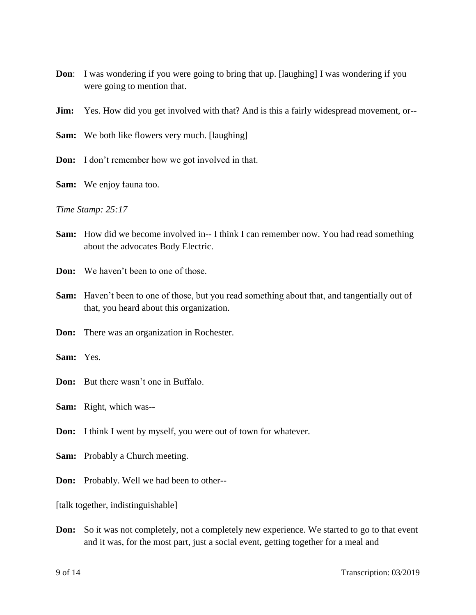- **Don:** I was wondering if you were going to bring that up. [laughing] I was wondering if you were going to mention that.
- **Jim:** Yes. How did you get involved with that? And is this a fairly widespread movement, or--
- **Sam:** We both like flowers very much. [laughing]
- **Don:** I don't remember how we got involved in that.
- **Sam:** We enjoy fauna too.

*Time Stamp: 25:17*

- **Sam:** How did we become involved in-- I think I can remember now. You had read something about the advocates Body Electric.
- **Don:** We haven't been to one of those.
- **Sam:** Haven't been to one of those, but you read something about that, and tangentially out of that, you heard about this organization.
- **Don:** There was an organization in Rochester.
- **Sam:** Yes.
- **Don:** But there wasn't one in Buffalo.
- **Sam:** Right, which was--
- **Don:** I think I went by myself, you were out of town for whatever.
- **Sam:** Probably a Church meeting.
- **Don:** Probably. Well we had been to other--

[talk together, indistinguishable]

**Don:** So it was not completely, not a completely new experience. We started to go to that event and it was, for the most part, just a social event, getting together for a meal and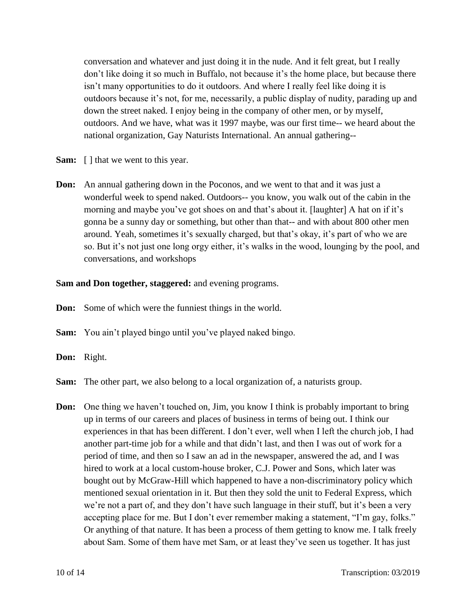conversation and whatever and just doing it in the nude. And it felt great, but I really don't like doing it so much in Buffalo, not because it's the home place, but because there isn't many opportunities to do it outdoors. And where I really feel like doing it is outdoors because it's not, for me, necessarily, a public display of nudity, parading up and down the street naked. I enjoy being in the company of other men, or by myself, outdoors. And we have, what was it 1997 maybe, was our first time-- we heard about the national organization, Gay Naturists International. An annual gathering--

- **Sam:** [ ] that we went to this year.
- **Don:** An annual gathering down in the Poconos, and we went to that and it was just a wonderful week to spend naked. Outdoors-- you know, you walk out of the cabin in the morning and maybe you've got shoes on and that's about it. [laughter] A hat on if it's gonna be a sunny day or something, but other than that-- and with about 800 other men around. Yeah, sometimes it's sexually charged, but that's okay, it's part of who we are so. But it's not just one long orgy either, it's walks in the wood, lounging by the pool, and conversations, and workshops

#### **Sam and Don together, staggered:** and evening programs.

- **Don:** Some of which were the funniest things in the world.
- **Sam:** You ain't played bingo until you've played naked bingo.
- **Don:** Right.
- **Sam:** The other part, we also belong to a local organization of, a naturists group.
- **Don:** One thing we haven't touched on, Jim, you know I think is probably important to bring up in terms of our careers and places of business in terms of being out. I think our experiences in that has been different. I don't ever, well when I left the church job, I had another part-time job for a while and that didn't last, and then I was out of work for a period of time, and then so I saw an ad in the newspaper, answered the ad, and I was hired to work at a local custom-house broker, C.J. Power and Sons, which later was bought out by McGraw-Hill which happened to have a non-discriminatory policy which mentioned sexual orientation in it. But then they sold the unit to Federal Express, which we're not a part of, and they don't have such language in their stuff, but it's been a very accepting place for me. But I don't ever remember making a statement, "I'm gay, folks." Or anything of that nature. It has been a process of them getting to know me. I talk freely about Sam. Some of them have met Sam, or at least they've seen us together. It has just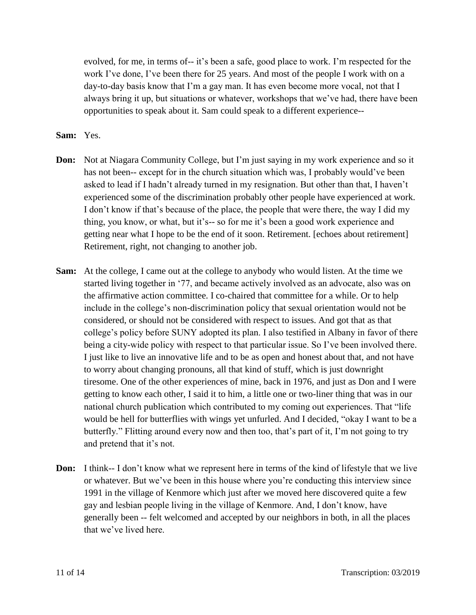evolved, for me, in terms of-- it's been a safe, good place to work. I'm respected for the work I've done, I've been there for 25 years. And most of the people I work with on a day-to-day basis know that I'm a gay man. It has even become more vocal, not that I always bring it up, but situations or whatever, workshops that we've had, there have been opportunities to speak about it. Sam could speak to a different experience--

#### **Sam:** Yes.

- **Don:** Not at Niagara Community College, but I'm just saying in my work experience and so it has not been-- except for in the church situation which was, I probably would've been asked to lead if I hadn't already turned in my resignation. But other than that, I haven't experienced some of the discrimination probably other people have experienced at work. I don't know if that's because of the place, the people that were there, the way I did my thing, you know, or what, but it's-- so for me it's been a good work experience and getting near what I hope to be the end of it soon. Retirement. [echoes about retirement] Retirement, right, not changing to another job.
- **Sam:** At the college, I came out at the college to anybody who would listen. At the time we started living together in '77, and became actively involved as an advocate, also was on the affirmative action committee. I co-chaired that committee for a while. Or to help include in the college's non-discrimination policy that sexual orientation would not be considered, or should not be considered with respect to issues. And got that as that college's policy before SUNY adopted its plan. I also testified in Albany in favor of there being a city-wide policy with respect to that particular issue. So I've been involved there. I just like to live an innovative life and to be as open and honest about that, and not have to worry about changing pronouns, all that kind of stuff, which is just downright tiresome. One of the other experiences of mine, back in 1976, and just as Don and I were getting to know each other, I said it to him, a little one or two-liner thing that was in our national church publication which contributed to my coming out experiences. That "life would be hell for butterflies with wings yet unfurled. And I decided, "okay I want to be a butterfly." Flitting around every now and then too, that's part of it, I'm not going to try and pretend that it's not.
- **Don:** I think-- I don't know what we represent here in terms of the kind of lifestyle that we live or whatever. But we've been in this house where you're conducting this interview since 1991 in the village of Kenmore which just after we moved here discovered quite a few gay and lesbian people living in the village of Kenmore. And, I don't know, have generally been -- felt welcomed and accepted by our neighbors in both, in all the places that we've lived here.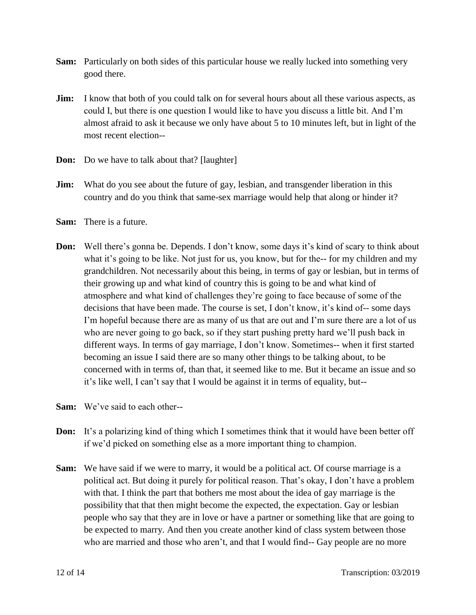- **Sam:** Particularly on both sides of this particular house we really lucked into something very good there.
- **Jim:** I know that both of you could talk on for several hours about all these various aspects, as could I, but there is one question I would like to have you discuss a little bit. And I'm almost afraid to ask it because we only have about 5 to 10 minutes left, but in light of the most recent election--
- **Don:** Do we have to talk about that? [laughter]
- **Jim:** What do you see about the future of gay, lesbian, and transgender liberation in this country and do you think that same-sex marriage would help that along or hinder it?
- **Sam:** There is a future.
- **Don:** Well there's gonna be. Depends. I don't know, some days it's kind of scary to think about what it's going to be like. Not just for us, you know, but for the-- for my children and my grandchildren. Not necessarily about this being, in terms of gay or lesbian, but in terms of their growing up and what kind of country this is going to be and what kind of atmosphere and what kind of challenges they're going to face because of some of the decisions that have been made. The course is set, I don't know, it's kind of-- some days I'm hopeful because there are as many of us that are out and I'm sure there are a lot of us who are never going to go back, so if they start pushing pretty hard we'll push back in different ways. In terms of gay marriage, I don't know. Sometimes-- when it first started becoming an issue I said there are so many other things to be talking about, to be concerned with in terms of, than that, it seemed like to me. But it became an issue and so it's like well, I can't say that I would be against it in terms of equality, but--
- **Sam:** We've said to each other--
- **Don:** It's a polarizing kind of thing which I sometimes think that it would have been better off if we'd picked on something else as a more important thing to champion.
- **Sam:** We have said if we were to marry, it would be a political act. Of course marriage is a political act. But doing it purely for political reason. That's okay, I don't have a problem with that. I think the part that bothers me most about the idea of gay marriage is the possibility that that then might become the expected, the expectation. Gay or lesbian people who say that they are in love or have a partner or something like that are going to be expected to marry. And then you create another kind of class system between those who are married and those who aren't, and that I would find-- Gay people are no more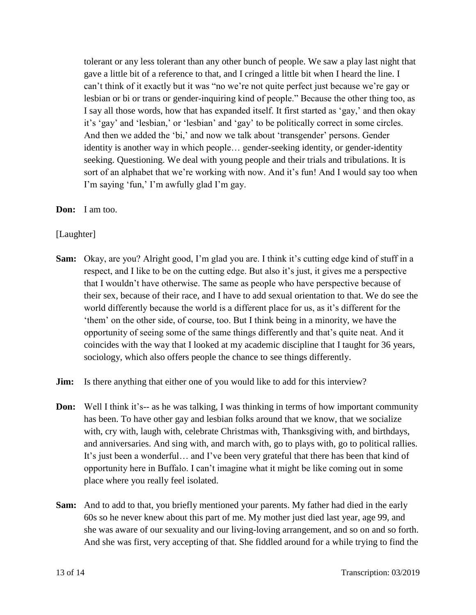tolerant or any less tolerant than any other bunch of people. We saw a play last night that gave a little bit of a reference to that, and I cringed a little bit when I heard the line. I can't think of it exactly but it was "no we're not quite perfect just because we're gay or lesbian or bi or trans or gender-inquiring kind of people." Because the other thing too, as I say all those words, how that has expanded itself. It first started as 'gay,' and then okay it's 'gay' and 'lesbian,' or 'lesbian' and 'gay' to be politically correct in some circles. And then we added the 'bi,' and now we talk about 'transgender' persons. Gender identity is another way in which people… gender-seeking identity, or gender-identity seeking. Questioning. We deal with young people and their trials and tribulations. It is sort of an alphabet that we're working with now. And it's fun! And I would say too when I'm saying 'fun,' I'm awfully glad I'm gay.

**Don:** I am too.

[Laughter]

- **Sam:** Okay, are you? Alright good, I'm glad you are. I think it's cutting edge kind of stuff in a respect, and I like to be on the cutting edge. But also it's just, it gives me a perspective that I wouldn't have otherwise. The same as people who have perspective because of their sex, because of their race, and I have to add sexual orientation to that. We do see the world differently because the world is a different place for us, as it's different for the 'them' on the other side, of course, too. But I think being in a minority, we have the opportunity of seeing some of the same things differently and that's quite neat. And it coincides with the way that I looked at my academic discipline that I taught for 36 years, sociology, which also offers people the chance to see things differently.
- **Jim:** Is there anything that either one of you would like to add for this interview?
- **Don:** Well I think it's-- as he was talking, I was thinking in terms of how important community has been. To have other gay and lesbian folks around that we know, that we socialize with, cry with, laugh with, celebrate Christmas with, Thanksgiving with, and birthdays, and anniversaries. And sing with, and march with, go to plays with, go to political rallies. It's just been a wonderful… and I've been very grateful that there has been that kind of opportunity here in Buffalo. I can't imagine what it might be like coming out in some place where you really feel isolated.
- **Sam:** And to add to that, you briefly mentioned your parents. My father had died in the early 60s so he never knew about this part of me. My mother just died last year, age 99, and she was aware of our sexuality and our living-loving arrangement, and so on and so forth. And she was first, very accepting of that. She fiddled around for a while trying to find the